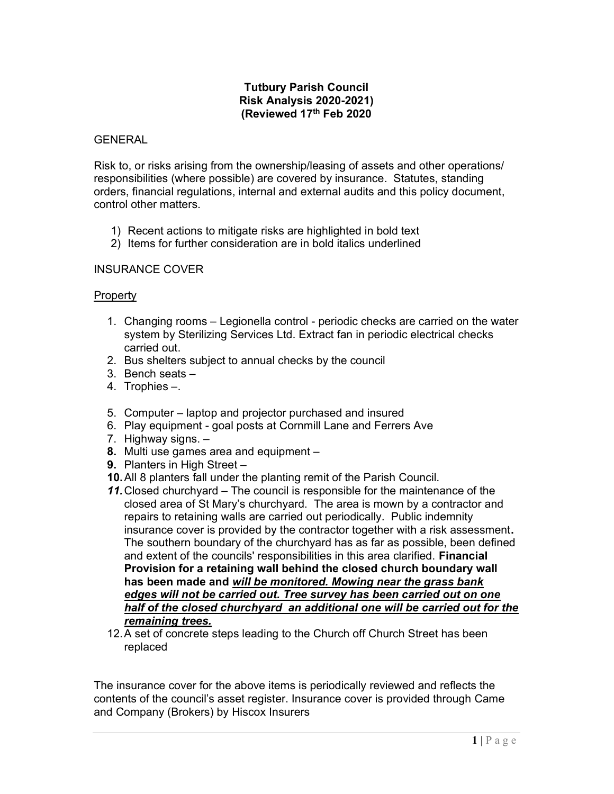#### Tutbury Parish Council Risk Analysis 2020-2021) (Reviewed 17th Feb 2020

#### GENERAL

Risk to, or risks arising from the ownership/leasing of assets and other operations/ responsibilities (where possible) are covered by insurance. Statutes, standing orders, financial regulations, internal and external audits and this policy document, control other matters.

- 1) Recent actions to mitigate risks are highlighted in bold text
- 2) Items for further consideration are in bold italics underlined

### INSURANCE COVER

### **Property**

- 1. Changing rooms Legionella control periodic checks are carried on the water system by Sterilizing Services Ltd. Extract fan in periodic electrical checks carried out.
- 2. Bus shelters subject to annual checks by the council
- 3. Bench seats –
- 4. Trophies –.
- 5. Computer laptop and projector purchased and insured
- 6. Play equipment goal posts at Cornmill Lane and Ferrers Ave
- 7. Highway signs. –
- 8. Multi use games area and equipment –
- 9. Planters in High Street -
- 10. All 8 planters fall under the planting remit of the Parish Council.
- 11. Closed churchyard The council is responsible for the maintenance of the closed area of St Mary's churchyard. The area is mown by a contractor and repairs to retaining walls are carried out periodically. Public indemnity insurance cover is provided by the contractor together with a risk assessment. The southern boundary of the churchyard has as far as possible, been defined and extent of the councils' responsibilities in this area clarified. Financial Provision for a retaining wall behind the closed church boundary wall has been made and will be monitored. Mowing near the grass bank edges will not be carried out. Tree survey has been carried out on one half of the closed churchyard an additional one will be carried out for the remaining trees.
- 12. A set of concrete steps leading to the Church off Church Street has been replaced

The insurance cover for the above items is periodically reviewed and reflects the contents of the council's asset register. Insurance cover is provided through Came and Company (Brokers) by Hiscox Insurers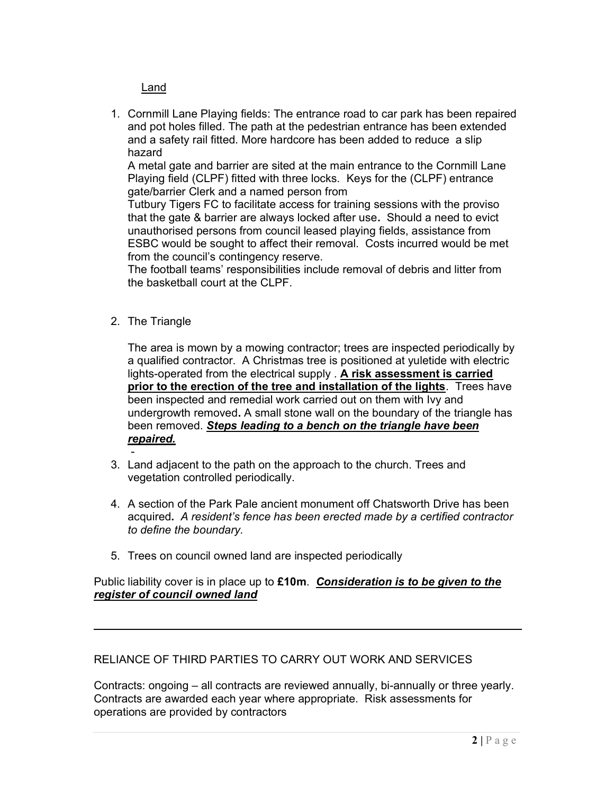Land

1. Cornmill Lane Playing fields: The entrance road to car park has been repaired and pot holes filled. The path at the pedestrian entrance has been extended and a safety rail fitted. More hardcore has been added to reduce a slip hazard

A metal gate and barrier are sited at the main entrance to the Cornmill Lane Playing field (CLPF) fitted with three locks. Keys for the (CLPF) entrance gate/barrier Clerk and a named person from

Tutbury Tigers FC to facilitate access for training sessions with the proviso that the gate & barrier are always locked after use. Should a need to evict unauthorised persons from council leased playing fields, assistance from ESBC would be sought to affect their removal. Costs incurred would be met from the council's contingency reserve.

The football teams' responsibilities include removal of debris and litter from the basketball court at the CLPF.

2. The Triangle

The area is mown by a mowing contractor; trees are inspected periodically by a qualified contractor. A Christmas tree is positioned at yuletide with electric lights-operated from the electrical supply . A risk assessment is carried prior to the erection of the tree and installation of the lights. Trees have been inspected and remedial work carried out on them with Ivy and undergrowth removed. A small stone wall on the boundary of the triangle has been removed. Steps leading to a bench on the triangle have been repaired.

- 3. Land adjacent to the path on the approach to the church. Trees and vegetation controlled periodically.
- 4. A section of the Park Pale ancient monument off Chatsworth Drive has been acquired. A resident's fence has been erected made by a certified contractor to define the boundary.
- 5. Trees on council owned land are inspected periodically

### Public liability cover is in place up to  $£10m$ . Consideration is to be given to the register of council owned land

# RELIANCE OF THIRD PARTIES TO CARRY OUT WORK AND SERVICES

Contracts: ongoing – all contracts are reviewed annually, bi-annually or three yearly. Contracts are awarded each year where appropriate. Risk assessments for operations are provided by contractors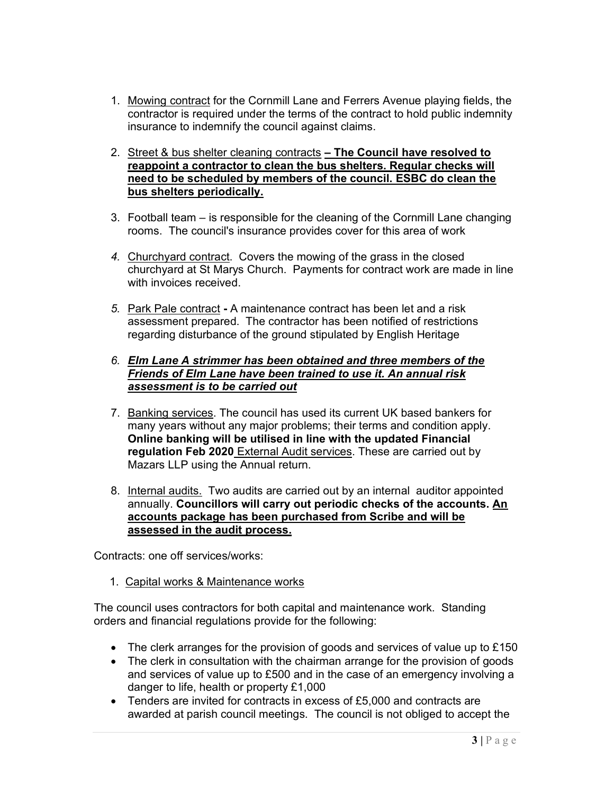- 1. Mowing contract for the Cornmill Lane and Ferrers Avenue playing fields, the contractor is required under the terms of the contract to hold public indemnity insurance to indemnify the council against claims.
- 2. Street & bus shelter cleaning contracts The Council have resolved to reappoint a contractor to clean the bus shelters. Regular checks will need to be scheduled by members of the council. ESBC do clean the bus shelters periodically.
- 3. Football team is responsible for the cleaning of the Cornmill Lane changing rooms. The council's insurance provides cover for this area of work
- 4. Churchyard contract. Covers the mowing of the grass in the closed churchyard at St Marys Church. Payments for contract work are made in line with invoices received.
- 5. Park Pale contract A maintenance contract has been let and a risk assessment prepared. The contractor has been notified of restrictions regarding disturbance of the ground stipulated by English Heritage

### 6. Elm Lane A strimmer has been obtained and three members of the Friends of Elm Lane have been trained to use it. An annual risk assessment is to be carried out

- 7. Banking services. The council has used its current UK based bankers for many years without any major problems; their terms and condition apply. Online banking will be utilised in line with the updated Financial regulation Feb 2020 External Audit services. These are carried out by Mazars LLP using the Annual return.
- 8. Internal audits. Two audits are carried out by an internal auditor appointed annually. Councillors will carry out periodic checks of the accounts. An accounts package has been purchased from Scribe and will be assessed in the audit process.

Contracts: one off services/works:

1. Capital works & Maintenance works

The council uses contractors for both capital and maintenance work. Standing orders and financial regulations provide for the following:

- $\bullet$  The clerk arranges for the provision of goods and services of value up to £150
- The clerk in consultation with the chairman arrange for the provision of goods and services of value up to £500 and in the case of an emergency involving a danger to life, health or property £1,000
- Tenders are invited for contracts in excess of £5,000 and contracts are awarded at parish council meetings. The council is not obliged to accept the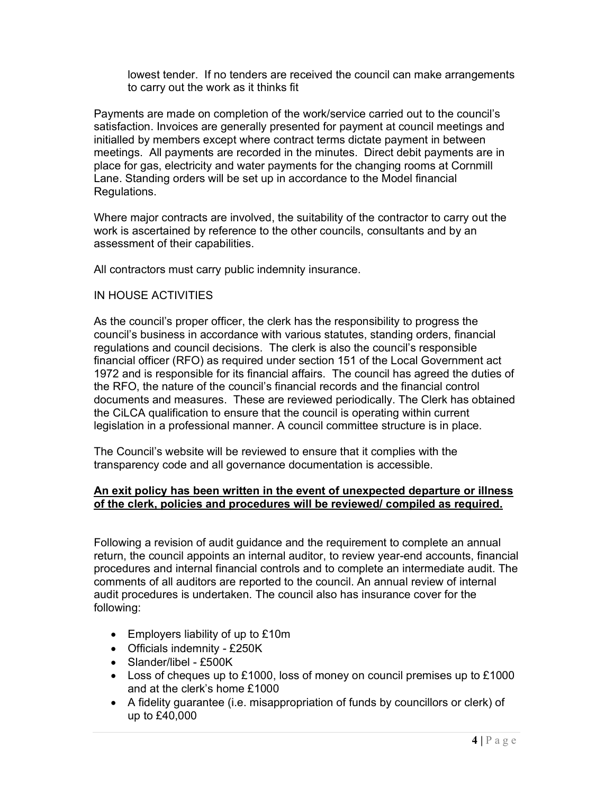lowest tender. If no tenders are received the council can make arrangements to carry out the work as it thinks fit

Payments are made on completion of the work/service carried out to the council's satisfaction. Invoices are generally presented for payment at council meetings and initialled by members except where contract terms dictate payment in between meetings. All payments are recorded in the minutes. Direct debit payments are in place for gas, electricity and water payments for the changing rooms at Cornmill Lane. Standing orders will be set up in accordance to the Model financial Regulations.

Where major contracts are involved, the suitability of the contractor to carry out the work is ascertained by reference to the other councils, consultants and by an assessment of their capabilities.

All contractors must carry public indemnity insurance.

### IN HOUSE ACTIVITIES

As the council's proper officer, the clerk has the responsibility to progress the council's business in accordance with various statutes, standing orders, financial regulations and council decisions. The clerk is also the council's responsible financial officer (RFO) as required under section 151 of the Local Government act 1972 and is responsible for its financial affairs. The council has agreed the duties of the RFO, the nature of the council's financial records and the financial control documents and measures. These are reviewed periodically. The Clerk has obtained the CiLCA qualification to ensure that the council is operating within current legislation in a professional manner. A council committee structure is in place.

The Council's website will be reviewed to ensure that it complies with the transparency code and all governance documentation is accessible.

### An exit policy has been written in the event of unexpected departure or illness of the clerk, policies and procedures will be reviewed/ compiled as required.

Following a revision of audit guidance and the requirement to complete an annual return, the council appoints an internal auditor, to review year-end accounts, financial procedures and internal financial controls and to complete an intermediate audit. The comments of all auditors are reported to the council. An annual review of internal audit procedures is undertaken. The council also has insurance cover for the following:

- Employers liability of up to £10m
- Officials indemnity £250K
- Slander/libel £500K
- Loss of cheques up to £1000, loss of money on council premises up to £1000 and at the clerk's home £1000
- A fidelity guarantee (i.e. misappropriation of funds by councillors or clerk) of up to £40,000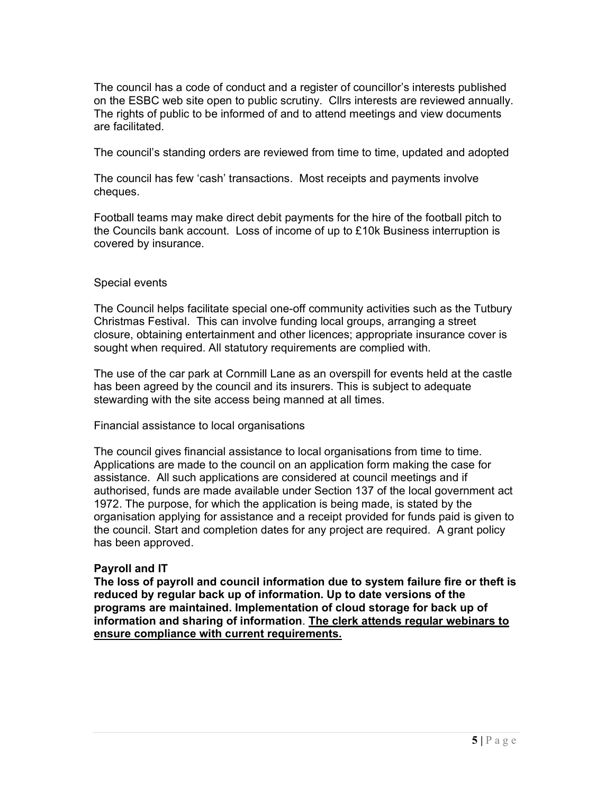The council has a code of conduct and a register of councillor's interests published on the ESBC web site open to public scrutiny. Cllrs interests are reviewed annually. The rights of public to be informed of and to attend meetings and view documents are facilitated.

The council's standing orders are reviewed from time to time, updated and adopted

The council has few 'cash' transactions. Most receipts and payments involve cheques.

Football teams may make direct debit payments for the hire of the football pitch to the Councils bank account. Loss of income of up to £10k Business interruption is covered by insurance.

### Special events

The Council helps facilitate special one-off community activities such as the Tutbury Christmas Festival. This can involve funding local groups, arranging a street closure, obtaining entertainment and other licences; appropriate insurance cover is sought when required. All statutory requirements are complied with.

The use of the car park at Cornmill Lane as an overspill for events held at the castle has been agreed by the council and its insurers. This is subject to adequate stewarding with the site access being manned at all times.

Financial assistance to local organisations

The council gives financial assistance to local organisations from time to time. Applications are made to the council on an application form making the case for assistance. All such applications are considered at council meetings and if authorised, funds are made available under Section 137 of the local government act 1972. The purpose, for which the application is being made, is stated by the organisation applying for assistance and a receipt provided for funds paid is given to the council. Start and completion dates for any project are required. A grant policy has been approved.

# Payroll and IT

The loss of payroll and council information due to system failure fire or theft is reduced by regular back up of information. Up to date versions of the programs are maintained. Implementation of cloud storage for back up of information and sharing of information. The clerk attends regular webinars to ensure compliance with current requirements.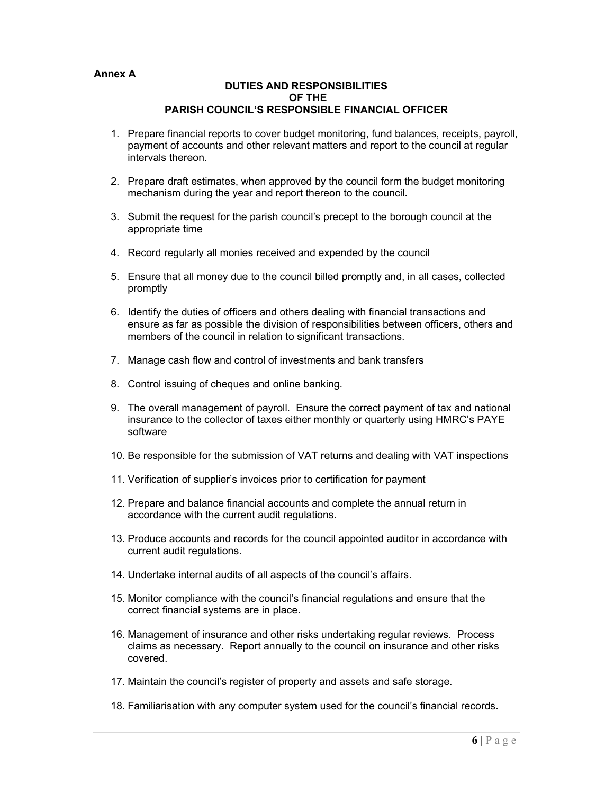#### Annex A

#### DUTIES AND RESPONSIBILITIES OF THE PARISH COUNCIL'S RESPONSIBLE FINANCIAL OFFICER

- 1. Prepare financial reports to cover budget monitoring, fund balances, receipts, payroll, payment of accounts and other relevant matters and report to the council at regular intervals thereon.
- 2. Prepare draft estimates, when approved by the council form the budget monitoring mechanism during the year and report thereon to the council.
- 3. Submit the request for the parish council's precept to the borough council at the appropriate time
- 4. Record regularly all monies received and expended by the council
- 5. Ensure that all money due to the council billed promptly and, in all cases, collected promptly
- 6. Identify the duties of officers and others dealing with financial transactions and ensure as far as possible the division of responsibilities between officers, others and members of the council in relation to significant transactions.
- 7. Manage cash flow and control of investments and bank transfers
- 8. Control issuing of cheques and online banking.
- 9. The overall management of payroll. Ensure the correct payment of tax and national insurance to the collector of taxes either monthly or quarterly using HMRC's PAYE software
- 10. Be responsible for the submission of VAT returns and dealing with VAT inspections
- 11. Verification of supplier's invoices prior to certification for payment
- 12. Prepare and balance financial accounts and complete the annual return in accordance with the current audit regulations.
- 13. Produce accounts and records for the council appointed auditor in accordance with current audit regulations.
- 14. Undertake internal audits of all aspects of the council's affairs.
- 15. Monitor compliance with the council's financial regulations and ensure that the correct financial systems are in place.
- 16. Management of insurance and other risks undertaking regular reviews. Process claims as necessary. Report annually to the council on insurance and other risks covered.
- 17. Maintain the council's register of property and assets and safe storage.
- 18. Familiarisation with any computer system used for the council's financial records.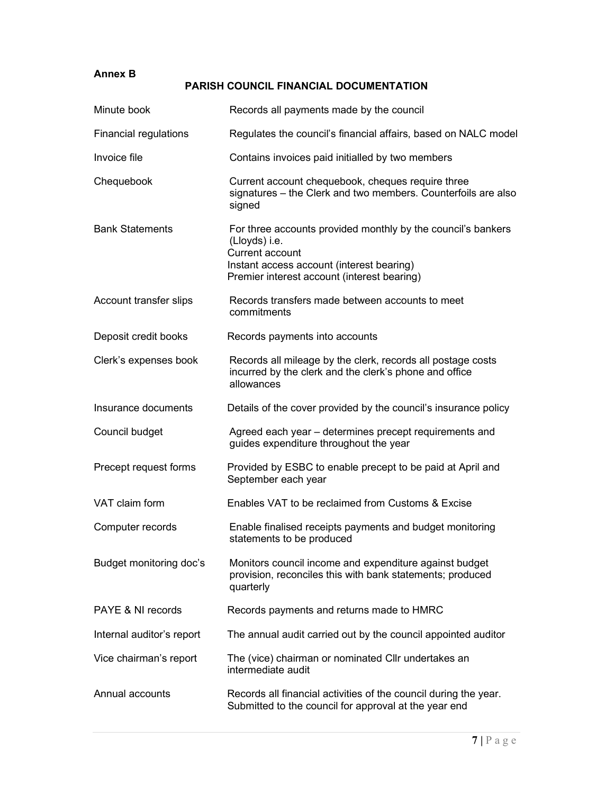# Annex B

# PARISH COUNCIL FINANCIAL DOCUMENTATION

| Minute book                  | Records all payments made by the council                                                                                                                                                     |
|------------------------------|----------------------------------------------------------------------------------------------------------------------------------------------------------------------------------------------|
| <b>Financial regulations</b> | Regulates the council's financial affairs, based on NALC model                                                                                                                               |
| Invoice file                 | Contains invoices paid initialled by two members                                                                                                                                             |
| Chequebook                   | Current account chequebook, cheques require three<br>signatures – the Clerk and two members. Counterfoils are also<br>signed                                                                 |
| <b>Bank Statements</b>       | For three accounts provided monthly by the council's bankers<br>(Lloyds) i.e.<br>Current account<br>Instant access account (interest bearing)<br>Premier interest account (interest bearing) |
| Account transfer slips       | Records transfers made between accounts to meet<br>commitments                                                                                                                               |
| Deposit credit books         | Records payments into accounts                                                                                                                                                               |
| Clerk's expenses book        | Records all mileage by the clerk, records all postage costs<br>incurred by the clerk and the clerk's phone and office<br>allowances                                                          |
| Insurance documents          | Details of the cover provided by the council's insurance policy                                                                                                                              |
| Council budget               | Agreed each year – determines precept requirements and<br>guides expenditure throughout the year                                                                                             |
| Precept request forms        | Provided by ESBC to enable precept to be paid at April and<br>September each year                                                                                                            |
| VAT claim form               | Enables VAT to be reclaimed from Customs & Excise                                                                                                                                            |
| Computer records             | Enable finalised receipts payments and budget monitoring<br>statements to be produced                                                                                                        |
| Budget monitoring doc's      | Monitors council income and expenditure against budget<br>provision, reconciles this with bank statements; produced<br>quarterly                                                             |
| PAYE & NI records            | Records payments and returns made to HMRC                                                                                                                                                    |
| Internal auditor's report    | The annual audit carried out by the council appointed auditor                                                                                                                                |
| Vice chairman's report       | The (vice) chairman or nominated Cllr undertakes an<br>intermediate audit                                                                                                                    |
| Annual accounts              | Records all financial activities of the council during the year.<br>Submitted to the council for approval at the year end                                                                    |